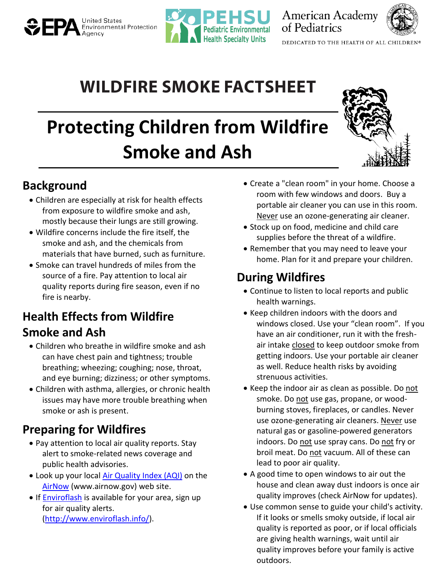# **Environmental Protection**



**American Academy** of Pediatrics



DEDICATED TO THE HEALTH OF ALL CHILDREN®

# **WILDFIRE SMOKE FACTSHEET**

# **Protecting Children from Wildfire Smoke and Ash**



### **Background**

- Children are especially at risk for health effects from exposure to wildfire smoke and ash, mostly because their lungs are still growing.
- Wildfire concerns include the fire itself, the smoke and ash, and the chemicals from materials that have burned, such as furniture.
- Smoke can travel hundreds of miles from the source of a fire. Pay attention to local air quality reports during fire season, even if no fire is nearby.

# **Health Effects from Wildfire Smoke and Ash**

- Children who breathe in wildfire smoke and ash can have chest pain and tightness; trouble breathing; wheezing; coughing; nose, throat, and eye burning; dizziness; or other symptoms.
- Children with asthma, allergies, or chronic health issues may have more trouble breathing when smoke or ash is present.

# **Preparing for Wildfires**

- Pay attention to local air quality reports. Stay alert to smoke-related news coverage and public health advisories.
- Look up your local [Air Quality Index \(AQI\)](https://airnow.gov/) on the [AirNow](http://www.airnow.gov/) (www.airnow.gov) web site.
- If **Enviroflash** is available for your area, sign up for air quality alerts. [\(http://www.enviroflash.info/\)](http://www.enviroflash.info/).
- Create a "clean room" in your home. Choose a room with few windows and doors. Buy a portable air cleaner you can use in this room. Never use an ozone-generating air cleaner.
- Stock up on food, medicine and child care supplies before the threat of a wildfire.
- Remember that you may need to leave your home. Plan for it and prepare your children.

# **During Wildfires**

- Continue to listen to local reports and public health warnings.
- Keep children indoors with the doors and windows closed. Use your "clean room". If you have an air conditioner, run it with the freshair intake closed to keep outdoor smoke from getting indoors. Use your portable air cleaner as well. Reduce health risks by avoiding strenuous activities.
- Keep the indoor air as clean as possible. Do not smoke. Do not use gas, propane, or woodburning stoves, fireplaces, or candles. Never use ozone-generating air cleaners. Never use natural gas or gasoline-powered generators indoors. Do not use spray cans. Do not fry or broil meat. Do not vacuum. All of these can lead to poor air quality.
- A good time to open windows to air out the house and clean away dust indoors is once air quality improves (check AirNow for updates).
- Use common sense to guide your child's activity. If it looks or smells smoky outside, if local air quality is reported as poor, or if local officials are giving health warnings, wait until air quality improves before your family is active outdoors.